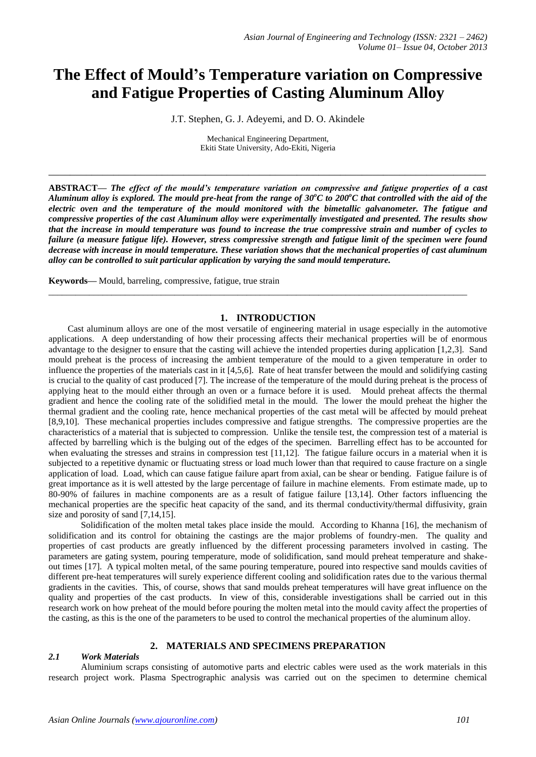# **The Effect of Mould's Temperature variation on Compressive and Fatigue Properties of Casting Aluminum Alloy**

J.T. Stephen, G. J. Adeyemi, and D. O. Akindele

Mechanical Engineering Department, Ekiti State University, Ado-Ekiti, Nigeria

**\_\_\_\_\_\_\_\_\_\_\_\_\_\_\_\_\_\_\_\_\_\_\_\_\_\_\_\_\_\_\_\_\_\_\_\_\_\_\_\_\_\_\_\_\_\_\_\_\_\_\_\_\_\_\_\_\_\_\_\_\_\_\_\_\_\_\_\_\_\_\_\_\_\_\_\_\_\_\_\_\_**

**ABSTRACT—** *The effect of the mould's temperature variation on compressive and fatigue properties of a cast Aluminum alloy is explored. The mould pre-heat from the range of 30<sup>o</sup>C to 200<sup>o</sup>C that controlled with the aid of the electric oven and the temperature of the mould monitored with the bimetallic galvanometer. The fatigue and compressive properties of the cast Aluminum alloy were experimentally investigated and presented. The results show that the increase in mould temperature was found to increase the true compressive strain and number of cycles to failure (a measure fatigue life). However, stress compressive strength and fatigue limit of the specimen were found decrease with increase in mould temperature. These variation shows that the mechanical properties of cast aluminum alloy can be controlled to suit particular application by varying the sand mould temperature.*

**Keywords—** Mould, barreling, compressive, fatigue, true strain

# **1. INTRODUCTION**

\_\_\_\_\_\_\_\_\_\_\_\_\_\_\_\_\_\_\_\_\_\_\_\_\_\_\_\_\_\_\_\_\_\_\_\_\_\_\_\_\_\_\_\_\_\_\_\_\_\_\_\_\_\_\_\_\_\_\_\_\_\_\_\_\_\_\_\_\_\_\_\_\_\_\_\_\_\_\_\_\_\_\_\_\_\_\_\_\_\_\_\_\_

Cast aluminum alloys are one of the most versatile of engineering material in usage especially in the automotive applications. A deep understanding of how their processing affects their mechanical properties will be of enormous advantage to the designer to ensure that the casting will achieve the intended properties during application [1,2,3]. Sand mould preheat is the process of increasing the ambient temperature of the mould to a given temperature in order to influence the properties of the materials cast in it [4,5,6]. Rate of heat transfer between the mould and solidifying casting is crucial to the quality of cast produced [7]. The increase of the temperature of the mould during preheat is the process of applying heat to the mould either through an oven or a furnace before it is used. Mould preheat affects the thermal gradient and hence the cooling rate of the solidified metal in the mould. The lower the mould preheat the higher the thermal gradient and the cooling rate, hence mechanical properties of the cast metal will be affected by mould preheat [8,9,10]. These mechanical properties includes compressive and fatigue strengths. The compressive properties are the characteristics of a material that is subjected to compression. Unlike the tensile test, the compression test of a material is affected by barrelling which is the bulging out of the edges of the specimen. Barrelling effect has to be accounted for when evaluating the stresses and strains in compression test [11,12]. The fatigue failure occurs in a material when it is subjected to a repetitive dynamic or fluctuating stress or load much lower than that required to cause fracture on a single application of load. Load, which can cause fatigue failure apart from axial, can be shear or bending. Fatigue failure is of great importance as it is well attested by the large percentage of failure in machine elements. From estimate made, up to 80-90% of failures in machine components are as a result of fatigue failure [13,14]. Other factors influencing the mechanical properties are the specific heat capacity of the sand, and its thermal conductivity/thermal diffusivity, grain size and porosity of sand [7,14,15].

Solidification of the molten metal takes place inside the mould. According to Khanna [16], the mechanism of solidification and its control for obtaining the castings are the major problems of foundry-men. The quality and properties of cast products are greatly influenced by the different processing parameters involved in casting. The parameters are gating system, pouring temperature, mode of solidification, sand mould preheat temperature and shakeout times [17]. A typical molten metal, of the same pouring temperature, poured into respective sand moulds cavities of different pre-heat temperatures will surely experience different cooling and solidification rates due to the various thermal gradients in the cavities. This, of course, shows that sand moulds preheat temperatures will have great influence on the quality and properties of the cast products. In view of this, considerable investigations shall be carried out in this research work on how preheat of the mould before pouring the molten metal into the mould cavity affect the properties of the casting, as this is the one of the parameters to be used to control the mechanical properties of the aluminum alloy.

# **2. MATERIALS AND SPECIMENS PREPARATION**

# *2.1 Work Materials*

Aluminium scraps consisting of automotive parts and electric cables were used as the work materials in this research project work. Plasma Spectrographic analysis was carried out on the specimen to determine chemical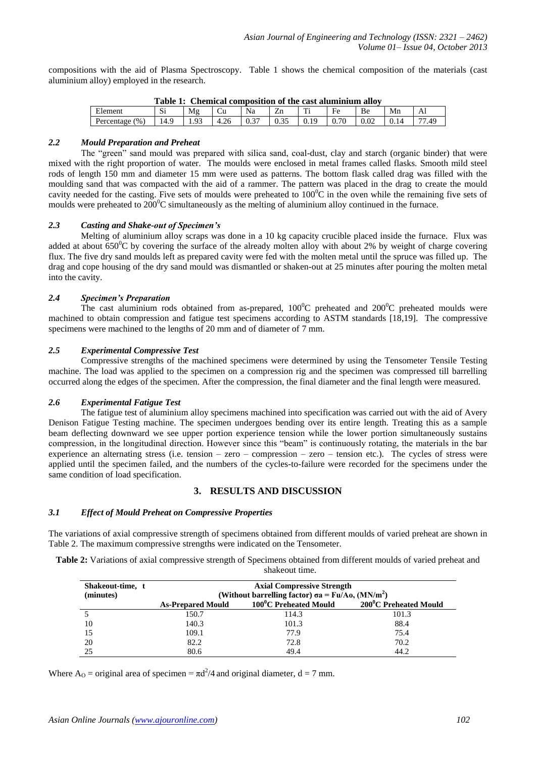compositions with the aid of Plasma Spectroscopy. Table 1 shows the chemical composition of the materials (cast aluminium alloy) employed in the research.

| Table 1: Chemical composition of the cast aluminium alloy |                  |    |  |    |  |   |                 |    |    |    |
|-----------------------------------------------------------|------------------|----|--|----|--|---|-----------------|----|----|----|
| Element                                                   | $\sim$<br>- 12 1 | M₫ |  | Na |  | m | $\rm E_{\rm P}$ | Be | Mn | Al |
| (96)<br>Percentage                                        |                  |    |  |    |  |   |                 |    |    | 49 |

# **Table 1: Chemical composition of the cast aluminium alloy**

### *2.2 Mould Preparation and Preheat*

The "green" sand mould was prepared with silica sand, coal-dust, clay and starch (organic binder) that were mixed with the right proportion of water. The moulds were enclosed in metal frames called flasks. Smooth mild steel rods of length 150 mm and diameter 15 mm were used as patterns. The bottom flask called drag was filled with the moulding sand that was compacted with the aid of a rammer. The pattern was placed in the drag to create the mould cavity needed for the casting. Five sets of moulds were preheated to  $100^{\circ}$ C in the oven while the remaining five sets of moulds were preheated to  $200^0C$  simultaneously as the melting of aluminium alloy continued in the furnace.

# *2.3 Casting and Shake-out of Specimen's*

Melting of aluminium alloy scraps was done in a 10 kg capacity crucible placed inside the furnace. Flux was added at about  $650^{\circ}$ C by covering the surface of the already molten alloy with about 2% by weight of charge covering flux. The five dry sand moulds left as prepared cavity were fed with the molten metal until the spruce was filled up. The drag and cope housing of the dry sand mould was dismantled or shaken-out at 25 minutes after pouring the molten metal into the cavity.

# *2.4 Specimen's Preparation*

The cast aluminium rods obtained from as-prepared,  $100^{\circ}$ C preheated and  $200^{\circ}$ C preheated moulds were machined to obtain compression and fatigue test specimens according to ASTM standards [18,19]. The compressive specimens were machined to the lengths of 20 mm and of diameter of 7 mm.

#### *2.5 Experimental Compressive Test*

Compressive strengths of the machined specimens were determined by using the Tensometer Tensile Testing machine. The load was applied to the specimen on a compression rig and the specimen was compressed till barrelling occurred along the edges of the specimen. After the compression, the final diameter and the final length were measured.

# *2.6 Experimental Fatigue Test*

The fatigue test of aluminium alloy specimens machined into specification was carried out with the aid of Avery Denison Fatigue Testing machine. The specimen undergoes bending over its entire length. Treating this as a sample beam deflecting downward we see upper portion experience tension while the lower portion simultaneously sustains compression, in the longitudinal direction. However since this "beam" is continuously rotating, the materials in the bar experience an alternating stress (i.e. tension – zero – compression – zero – tension etc.). The cycles of stress were applied until the specimen failed, and the numbers of the cycles-to-failure were recorded for the specimens under the same condition of load specification.

# **3. RESULTS AND DISCUSSION**

#### *3.1 Effect of Mould Preheat on Compressive Properties*

The variations of axial compressive strength of specimens obtained from different moulds of varied preheat are shown in Table 2. The maximum compressive strengths were indicated on the Tensometer.

**Table 2:** Variations of axial compressive strength of Specimens obtained from different moulds of varied preheat and shakeout time.

| Shakeout-time, t<br>(minutes) | <b>Axial Compressive Strength</b><br>(Without barrelling factor) $\sigma a = Fu/Ao$ , (MN/m <sup>2</sup> ) |                       |                       |  |  |  |  |  |  |
|-------------------------------|------------------------------------------------------------------------------------------------------------|-----------------------|-----------------------|--|--|--|--|--|--|
|                               | <b>As-Prepared Mould</b>                                                                                   | 100°C Preheated Mould | 200°C Preheated Mould |  |  |  |  |  |  |
|                               | 150.7                                                                                                      | 114.3                 | 101.3                 |  |  |  |  |  |  |
| 10                            | 140.3                                                                                                      | 101.3                 | 88.4                  |  |  |  |  |  |  |
| 15                            | 109.1                                                                                                      | 77.9                  | 75.4                  |  |  |  |  |  |  |
| 20                            | 82.2                                                                                                       | 72.8                  | 70.2                  |  |  |  |  |  |  |
| 25                            | 80.6                                                                                                       | 49.4                  | 44.2                  |  |  |  |  |  |  |

Where A<sub>O</sub> = original area of specimen =  $\pi d^2/4$  and original diameter,  $d = 7$  mm.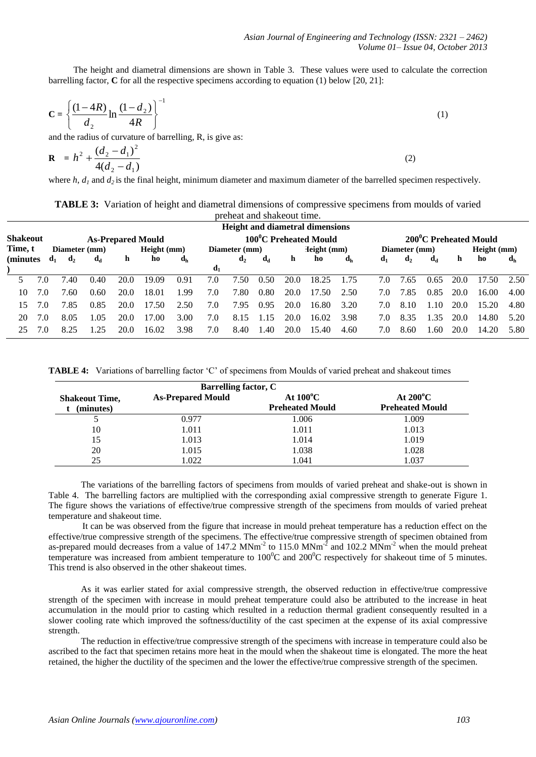The height and diametral dimensions are shown in Table 3. These values were used to calculate the correction barrelling factor, **C** for all the respective specimens according to equation (1) below [20, 21]:

$$
C = \left\{ \frac{(1 - 4R)}{d_2} \ln \frac{(1 - d_2)}{4R} \right\}^{-1}
$$
 (1)

and the radius of curvature of barrelling, R, is give as:

$$
\mathbf{R} = h^2 + \frac{(d_2 - d_1)^2}{4(d_2 - d_1)}
$$
 (2)

where *h*, *d<sub>1</sub>* and *d<sub>2</sub>* is the final height, minimum diameter and maximum diameter of the barrelled specimen respectively.

| <b>TABLE 3:</b> Variation of height and diametral dimensions of compressive specimens from moulds of varied |                            |  |  |  |
|-------------------------------------------------------------------------------------------------------------|----------------------------|--|--|--|
|                                                                                                             | preheat and shakeout time. |  |  |  |

|                                             |     |                         |       |      |             |                       |                |                |                |      | <b>Height and diametral dimensions</b> |                           |                |                |      |      |             |                           |
|---------------------------------------------|-----|-------------------------|-------|------|-------------|-----------------------|----------------|----------------|----------------|------|----------------------------------------|---------------------------|----------------|----------------|------|------|-------------|---------------------------|
| <b>Shakeout</b><br><b>As-Prepared Mould</b> |     |                         |       |      |             | 100°C Preheated Mould |                |                |                |      |                                        | 200°C Preheated Mould     |                |                |      |      |             |                           |
| Time, t                                     |     | Diameter (mm)           |       |      | Height (mm) |                       |                | Diameter (mm)  |                |      | Height (mm)                            |                           |                | Diameter (mm)  |      |      | Height (mm) |                           |
| (minutes)                                   |     | $\mathbf{d}_2$<br>$d_1$ | $d_d$ | h    | ho          | $d_h$                 |                | $\mathbf{d}_2$ | d <sub>d</sub> | h    | ho                                     | $\mathbf{d}_{\mathbf{h}}$ | $\mathbf{d}_1$ | $\mathbf{d}_2$ | da   | h    | ho          | $\mathbf{d}_{\mathbf{h}}$ |
|                                             |     |                         |       |      |             |                       | $\mathbf{d}_1$ |                |                |      |                                        |                           |                |                |      |      |             |                           |
|                                             |     | 7.40                    | 0.40  | 20.0 | 19.09       | 0.91                  | 7.0            | 7.50           | 0.50           | 20.0 | 18.25                                  | 1.75                      | 7.0            | 7.65           | 0.65 | 20.0 | 17.50       | 2.50                      |
| 10                                          | 7.0 | 7.60                    | 0.60  | 20.0 | 18.01       | 1.99                  | 7.0            | 7.80           | 0.80           | 20.0 | 17.50                                  | 2.50                      | 7.0            | 7.85           | 0.85 | 20.0 | 16.00       | 4.00                      |
| 15                                          |     | 7.85                    | 0.85  | 20.0 | 17.50       | 2.50                  | 7.0            | 7.95           | 0.95           | 20.0 | 16.80                                  | 3.20                      | 7.0            | 8.10           | 1.10 | 20.0 | 15.20       | 4.80                      |
| 20                                          | 7.0 | 8.05                    | 1.05  | 20.0 | 17.00       | 3.00                  | 7.0            | 8.15           | l.15           | 20.0 | 16.02                                  | 3.98                      | 7.0            | 8.35           | 1.35 | 20.0 | 14.80       | 5.20                      |
| 25                                          | 70  | 8.25                    | 25    | 20 O | 16.02       | 3.98                  | 7.0            | 8.40           | -40            | 20.0 | 15.40                                  | 4.60                      | 7.0            | 8.60           | -60  | 20.0 | 14.20       | 5.80                      |
|                                             |     |                         |       |      |             |                       |                |                |                |      |                                        |                           |                |                |      |      |             |                           |

**TABLE 4:** Variations of barrelling factor 'C' of specimens from Moulds of varied preheat and shakeout times

| <b>Barrelling factor, C</b> |                          |                        |                        |  |  |  |  |  |
|-----------------------------|--------------------------|------------------------|------------------------|--|--|--|--|--|
| <b>Shakeout Time,</b>       | <b>As-Prepared Mould</b> | At $100^{\circ}$ C     | At $200^{\circ}$ C     |  |  |  |  |  |
| (minutes)                   |                          | <b>Preheated Mould</b> | <b>Preheated Mould</b> |  |  |  |  |  |
| ◡                           | 0.977                    | 1.006                  | 1.009                  |  |  |  |  |  |
| 10                          | 1.011                    | 1.011                  | 1.013                  |  |  |  |  |  |
| 15                          | 1.013                    | 1.014                  | 1.019                  |  |  |  |  |  |
| 20                          | 1.015                    | 1.038                  | 1.028                  |  |  |  |  |  |
| 25                          | 1.022                    | 1.041                  | 1.037                  |  |  |  |  |  |

The variations of the barrelling factors of specimens from moulds of varied preheat and shake-out is shown in Table 4. The barrelling factors are multiplied with the corresponding axial compressive strength to generate Figure 1. The figure shows the variations of effective/true compressive strength of the specimens from moulds of varied preheat temperature and shakeout time.

 It can be was observed from the figure that increase in mould preheat temperature has a reduction effect on the effective/true compressive strength of the specimens. The effective/true compressive strength of specimen obtained from as-prepared mould decreases from a value of  $147.2$  MNm<sup>-2</sup> to  $115.0$  MNm<sup>-2</sup> and  $102.2$  MNm<sup>-2</sup> when the mould preheat temperature was increased from ambient temperature to  $100^{\circ}$ C and  $200^{\circ}$ C respectively for shakeout time of 5 minutes. This trend is also observed in the other shakeout times.

As it was earlier stated for axial compressive strength, the observed reduction in effective/true compressive strength of the specimen with increase in mould preheat temperature could also be attributed to the increase in heat accumulation in the mould prior to casting which resulted in a reduction thermal gradient consequently resulted in a slower cooling rate which improved the softness/ductility of the cast specimen at the expense of its axial compressive strength.

The reduction in effective/true compressive strength of the specimens with increase in temperature could also be ascribed to the fact that specimen retains more heat in the mould when the shakeout time is elongated. The more the heat retained, the higher the ductility of the specimen and the lower the effective/true compressive strength of the specimen.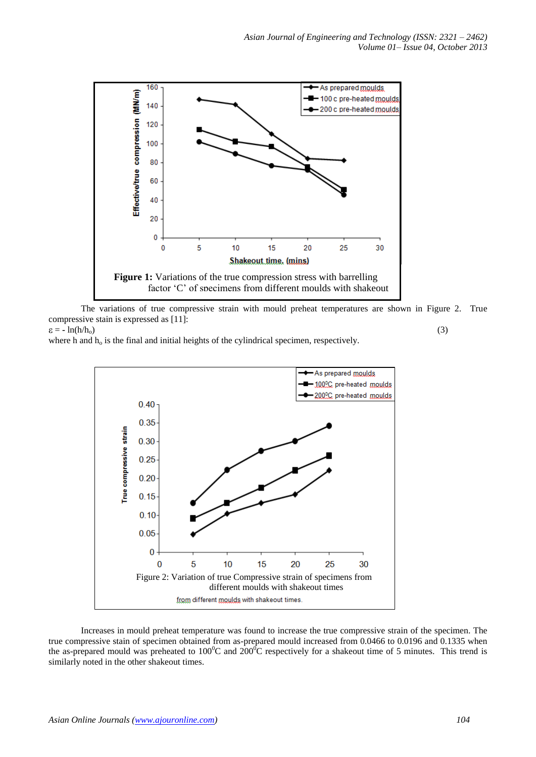

The variations of true compressive strain with mould preheat temperatures are shown in Figure 2. True compressive stain is expressed as [11]:

 $= -\ln(\frac{h}{h_0})$  (3)

where h and  $h_0$  is the final and initial heights of the cylindrical specimen, respectively.





Increases in mould preheat temperature was found to increase the true compressive strain of the specimen. The true compressive stain of specimen obtained from as-prepared mould increased from 0.0466 to 0.0196 and 0.1335 when the as-prepared mould was preheated to  $100^{\circ}$ C and  $200^{\circ}$ C respectively for a shakeout time of 5 minutes. This trend is similarly noted in the other shakeout times.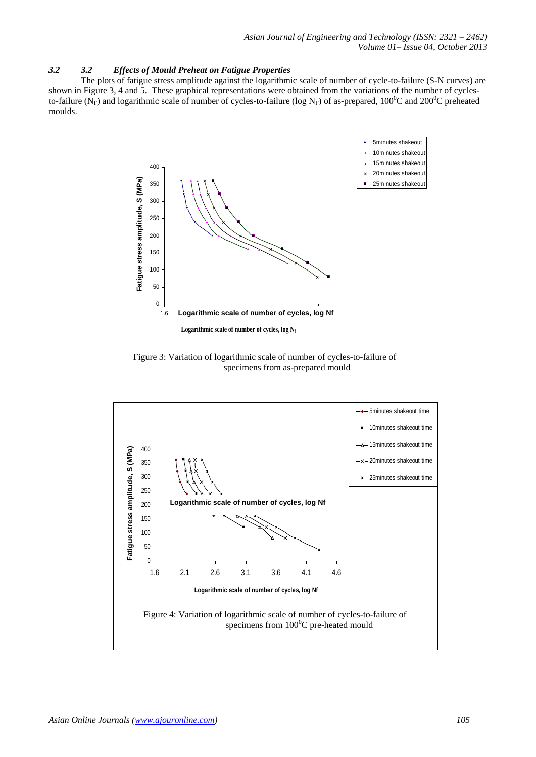# *3.2 3.2 Effects of Mould Preheat on Fatigue Properties*

 The plots of fatigue stress amplitude against the logarithmic scale of number of cycle-to-failure (S-N curves) are shown in Figure 3, 4 and 5. These graphical representations were obtained from the variations of the number of cyclesto-failure (N<sub>F</sub>) and logarithmic scale of number of cycles-to-failure (log N<sub>F</sub>) of as-prepared, 100<sup>o</sup>C and 200<sup>o</sup>C preheated moulds.



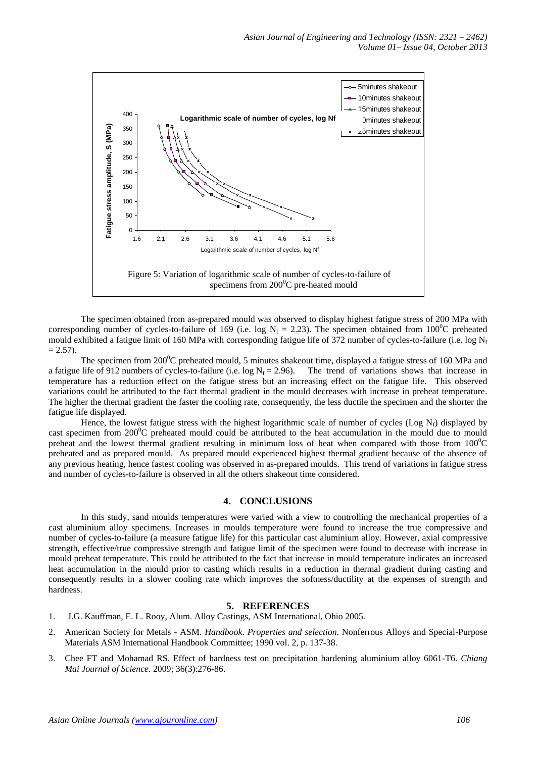

The specimen obtained from as-prepared mould was observed to display highest fatigue stress of 200 MPa with corresponding number of cycles-to-failure of 169 (i.e. log  $N_f = 2.23$ ). The specimen obtained from 100<sup>0</sup>C preheated mould exhibited a fatigue limit of 160 MPa with corresponding fatigue life of 372 number of cycles-to-failure (i.e. log  $N_f$  $= 2.57$ ).

The specimen from 200<sup>0</sup>C preheated mould, 5 minutes shakeout time, displayed a fatigue stress of 160 MPa and a fatigue life of 912 numbers of cycles-to-failure (i.e.  $\log N_f = 2.96$ ). The trend of variations shows that increase in temperature has a reduction effect on the fatigue stress but an increasing effect on the fatigue life. This observed variations could be attributed to the fact thermal gradient in the mould decreases with increase in preheat temperature. The higher the thermal gradient the faster the cooling rate, consequently, the less ductile the specimen and the shorter the fatigue life displayed.

Hence, the lowest fatigue stress with the highest logarithmic scale of number of cycles (Log  $N_f$ ) displayed by cast specimen from  $200^{\circ}$ C preheated mould could be attributed to the heat accumulation in the mould due to mould preheat and the lowest thermal gradient resulting in minimum loss of heat when compared with those from  $100^{\circ}$ C preheated and as prepared mould. As prepared mould experienced highest thermal gradient because of the absence of any previous heating, hence fastest cooling was observed in as-prepared moulds. This trend of variations in fatigue stress and number of cycles-to-failure is observed in all the others shakeout time considered.

# **4. CONCLUSIONS**

In this study, sand moulds temperatures were varied with a view to controlling the mechanical properties of a cast aluminium alloy specimens. Increases in moulds temperature were found to increase the true compressive and number of cycles-to-failure (a measure fatigue life) for this particular cast aluminium alloy. However, axial compressive strength, effective/true compressive strength and fatigue limit of the specimen were found to decrease with increase in mould preheat temperature. This could be attributed to the fact that increase in mould temperature indicates an increased heat accumulation in the mould prior to casting which results in a reduction in thermal gradient during casting and consequently results in a slower cooling rate which improves the softness/ductility at the expenses of strength and hardness.

# **5. REFERENCES**

- 1. J.G. Kauffman, E. L. Rooy, Alum. Alloy Castings, ASM International, Ohio 2005.
- 2. American Society for Metals ASM. *Handbook*. *Properties and selection*. Nonferrous Alloys and Special-Purpose Materials ASM International Handbook Committee; 1990 vol. 2, p. 137-38.
- 3. Chee FT and Mohamad RS. Effect of hardness test on precipitation hardening aluminium alloy 6061-T6. *Chiang Mai Journal of Science*. 2009; 36(3):276-86.